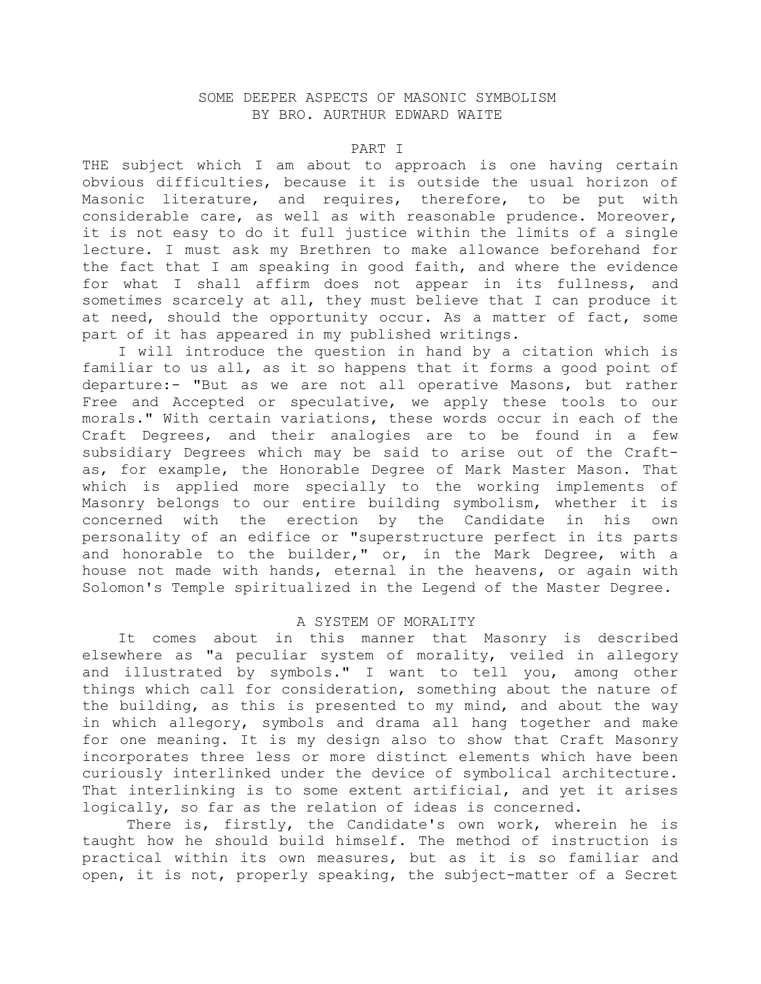# SOME DEEPER ASPECTS OF MASONIC SYMBOLISM BY BRO. AURTHUR EDWARD WAITE

#### PART I

THE subject which I am about to approach is one having certain obvious difficulties, because it is outside the usual horizon of Masonic literature, and requires, therefore, to be put with considerable care, as well as with reasonable prudence. Moreover, it is not easy to do it full justice within the limits of a single lecture. I must ask my Brethren to make allowance beforehand for the fact that I am speaking in good faith, and where the evidence for what I shall affirm does not appear in its fullness, and sometimes scarcely at all, they must believe that I can produce it at need, should the opportunity occur. As a matter of fact, some part of it has appeared in my published writings.

 I will introduce the question in hand by a citation which is familiar to us all, as it so happens that it forms a good point of departure:- "But as we are not all operative Masons, but rather Free and Accepted or speculative, we apply these tools to our morals." With certain variations, these words occur in each of the Craft Degrees, and their analogies are to be found in a few subsidiary Degrees which may be said to arise out of the Craftas, for example, the Honorable Degree of Mark Master Mason. That which is applied more specially to the working implements of Masonry belongs to our entire building symbolism, whether it is concerned with the erection by the Candidate in his own personality of an edifice or "superstructure perfect in its parts and honorable to the builder," or, in the Mark Degree, with a house not made with hands, eternal in the heavens, or again with Solomon's Temple spiritualized in the Legend of the Master Degree.

## A SYSTEM OF MORALITY

 It comes about in this manner that Masonry is described elsewhere as "a peculiar system of morality, veiled in allegory and illustrated by symbols." I want to tell you, among other things which call for consideration, something about the nature of the building, as this is presented to my mind, and about the way in which allegory, symbols and drama all hang together and make for one meaning. It is my design also to show that Craft Masonry incorporates three less or more distinct elements which have been curiously interlinked under the device of symbolical architecture. That interlinking is to some extent artificial, and yet it arises logically, so far as the relation of ideas is concerned.

 There is, firstly, the Candidate's own work, wherein he is taught how he should build himself. The method of instruction is practical within its own measures, but as it is so familiar and open, it is not, properly speaking, the subject-matter of a Secret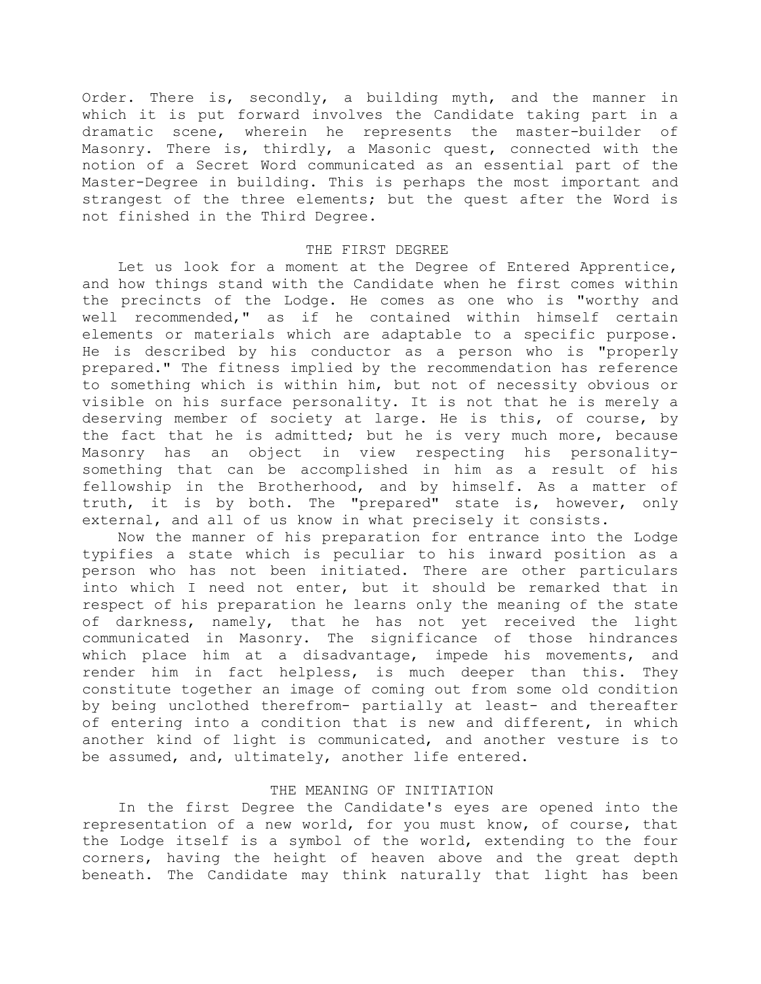Order. There is, secondly, a building myth, and the manner in which it is put forward involves the Candidate taking part in a dramatic scene, wherein he represents the master-builder of Masonry. There is, thirdly, a Masonic quest, connected with the notion of a Secret Word communicated as an essential part of the Master-Degree in building. This is perhaps the most important and strangest of the three elements; but the quest after the Word is not finished in the Third Degree.

#### THE FIRST DEGREE

 Let us look for a moment at the Degree of Entered Apprentice, and how things stand with the Candidate when he first comes within the precincts of the Lodge. He comes as one who is "worthy and well recommended," as if he contained within himself certain elements or materials which are adaptable to a specific purpose. He is described by his conductor as a person who is "properly prepared." The fitness implied by the recommendation has reference to something which is within him, but not of necessity obvious or visible on his surface personality. It is not that he is merely a deserving member of society at large. He is this, of course, by the fact that he is admitted; but he is very much more, because Masonry has an object in view respecting his personalitysomething that can be accomplished in him as a result of his fellowship in the Brotherhood, and by himself. As a matter of truth, it is by both. The "prepared" state is, however, only external, and all of us know in what precisely it consists.

 Now the manner of his preparation for entrance into the Lodge typifies a state which is peculiar to his inward position as a person who has not been initiated. There are other particulars into which I need not enter, but it should be remarked that in respect of his preparation he learns only the meaning of the state of darkness, namely, that he has not yet received the light communicated in Masonry. The significance of those hindrances which place him at a disadvantage, impede his movements, and render him in fact helpless, is much deeper than this. They constitute together an image of coming out from some old condition by being unclothed therefrom- partially at least- and thereafter of entering into a condition that is new and different, in which another kind of light is communicated, and another vesture is to be assumed, and, ultimately, another life entered.

#### THE MEANING OF INITIATION

 In the first Degree the Candidate's eyes are opened into the representation of a new world, for you must know, of course, that the Lodge itself is a symbol of the world, extending to the four corners, having the height of heaven above and the great depth beneath. The Candidate may think naturally that light has been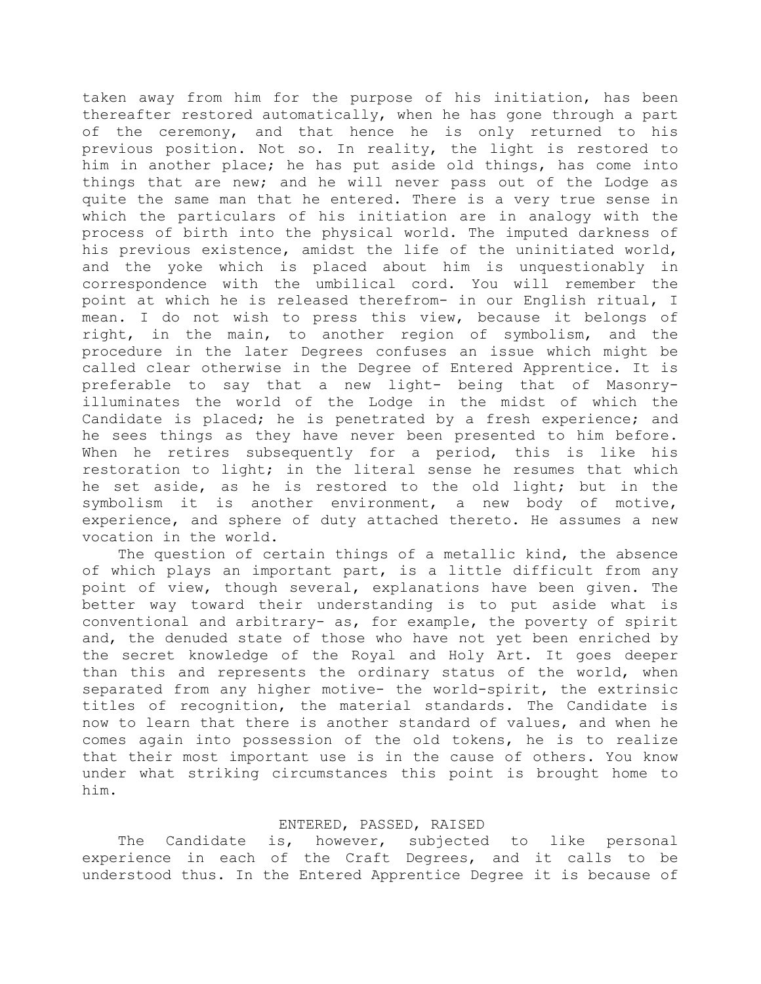taken away from him for the purpose of his initiation, has been thereafter restored automatically, when he has gone through a part of the ceremony, and that hence he is only returned to his previous position. Not so. In reality, the light is restored to him in another place; he has put aside old things, has come into things that are new; and he will never pass out of the Lodge as quite the same man that he entered. There is a very true sense in which the particulars of his initiation are in analogy with the process of birth into the physical world. The imputed darkness of his previous existence, amidst the life of the uninitiated world, and the yoke which is placed about him is unquestionably in correspondence with the umbilical cord. You will remember the point at which he is released therefrom- in our English ritual, I mean. I do not wish to press this view, because it belongs of right, in the main, to another region of symbolism, and the procedure in the later Degrees confuses an issue which might be called clear otherwise in the Degree of Entered Apprentice. It is preferable to say that a new light- being that of Masonryilluminates the world of the Lodge in the midst of which the Candidate is placed; he is penetrated by a fresh experience; and he sees things as they have never been presented to him before. When he retires subsequently for a period, this is like his restoration to light; in the literal sense he resumes that which he set aside, as he is restored to the old light; but in the symbolism it is another environment, a new body of motive, experience, and sphere of duty attached thereto. He assumes a new vocation in the world.

The question of certain things of a metallic kind, the absence of which plays an important part, is a little difficult from any point of view, though several, explanations have been given. The better way toward their understanding is to put aside what is conventional and arbitrary- as, for example, the poverty of spirit and, the denuded state of those who have not yet been enriched by the secret knowledge of the Royal and Holy Art. It goes deeper than this and represents the ordinary status of the world, when separated from any higher motive- the world-spirit, the extrinsic titles of recognition, the material standards. The Candidate is now to learn that there is another standard of values, and when he comes again into possession of the old tokens, he is to realize that their most important use is in the cause of others. You know under what striking circumstances this point is brought home to him.

### ENTERED, PASSED, RAISED

 The Candidate is, however, subjected to like personal experience in each of the Craft Degrees, and it calls to be understood thus. In the Entered Apprentice Degree it is because of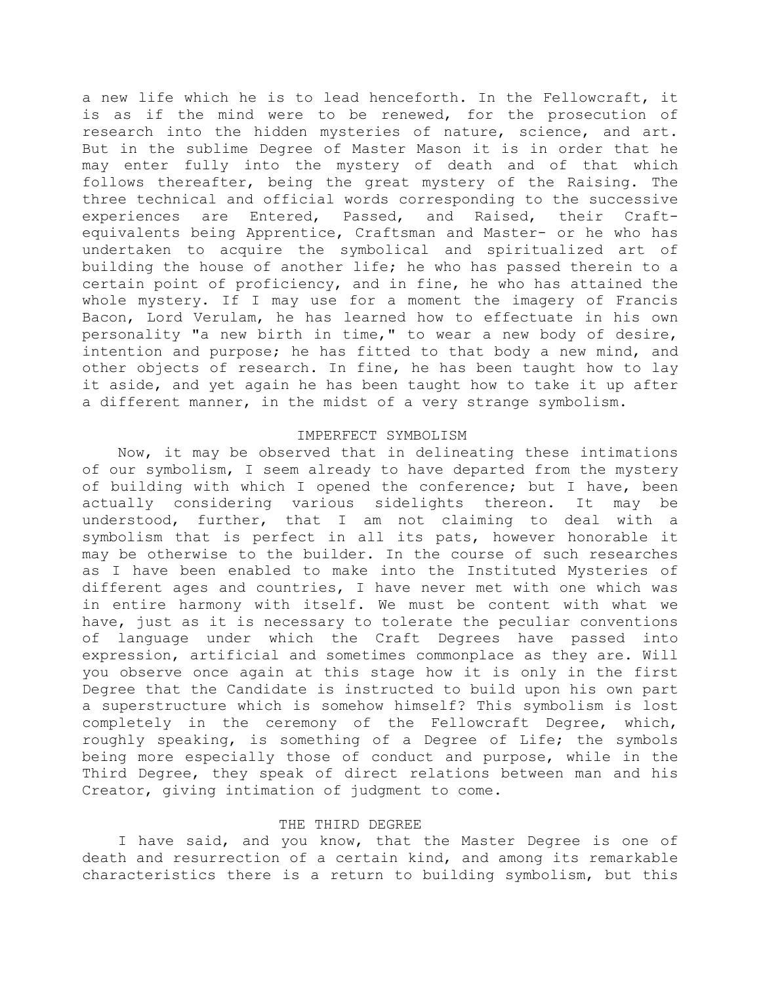a new life which he is to lead henceforth. In the Fellowcraft, it is as if the mind were to be renewed, for the prosecution of research into the hidden mysteries of nature, science, and art. But in the sublime Degree of Master Mason it is in order that he may enter fully into the mystery of death and of that which follows thereafter, being the great mystery of the Raising. The three technical and official words corresponding to the successive experiences are Entered, Passed, and Raised, their Craftequivalents being Apprentice, Craftsman and Master- or he who has undertaken to acquire the symbolical and spiritualized art of building the house of another life; he who has passed therein to a certain point of proficiency, and in fine, he who has attained the whole mystery. If I may use for a moment the imagery of Francis Bacon, Lord Verulam, he has learned how to effectuate in his own personality "a new birth in time," to wear a new body of desire, intention and purpose; he has fitted to that body a new mind, and other objects of research. In fine, he has been taught how to lay it aside, and yet again he has been taught how to take it up after a different manner, in the midst of a very strange symbolism.

#### IMPERFECT SYMBOLISM

 Now, it may be observed that in delineating these intimations of our symbolism, I seem already to have departed from the mystery of building with which I opened the conference; but I have, been actually considering various sidelights thereon. It may be understood, further, that I am not claiming to deal with a symbolism that is perfect in all its pats, however honorable it may be otherwise to the builder. In the course of such researches as I have been enabled to make into the Instituted Mysteries of different ages and countries, I have never met with one which was in entire harmony with itself. We must be content with what we have, just as it is necessary to tolerate the peculiar conventions of language under which the Craft Degrees have passed into expression, artificial and sometimes commonplace as they are. Will you observe once again at this stage how it is only in the first Degree that the Candidate is instructed to build upon his own part a superstructure which is somehow himself? This symbolism is lost completely in the ceremony of the Fellowcraft Degree, which, roughly speaking, is something of a Degree of Life; the symbols being more especially those of conduct and purpose, while in the Third Degree, they speak of direct relations between man and his Creator, giving intimation of judgment to come.

### THE THIRD DEGREE

 I have said, and you know, that the Master Degree is one of death and resurrection of a certain kind, and among its remarkable characteristics there is a return to building symbolism, but this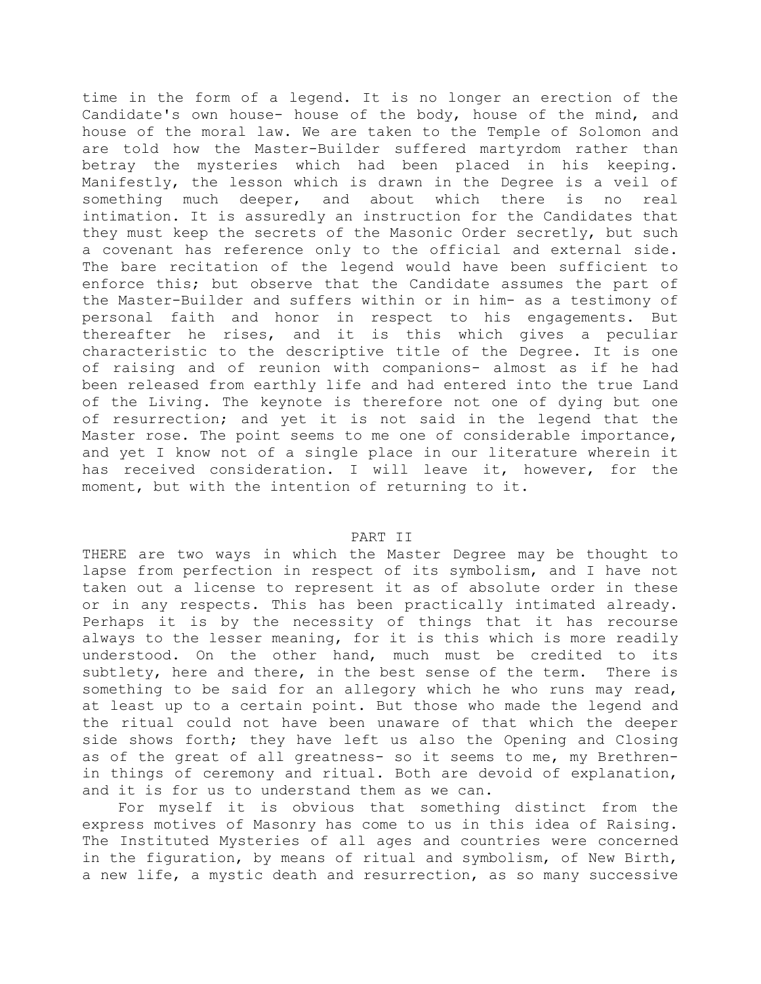time in the form of a legend. It is no longer an erection of the Candidate's own house- house of the body, house of the mind, and house of the moral law. We are taken to the Temple of Solomon and are told how the Master-Builder suffered martyrdom rather than betray the mysteries which had been placed in his keeping. Manifestly, the lesson which is drawn in the Degree is a veil of something much deeper, and about which there is no real intimation. It is assuredly an instruction for the Candidates that they must keep the secrets of the Masonic Order secretly, but such a covenant has reference only to the official and external side. The bare recitation of the legend would have been sufficient to enforce this; but observe that the Candidate assumes the part of the Master-Builder and suffers within or in him- as a testimony of personal faith and honor in respect to his engagements. But thereafter he rises, and it is this which gives a peculiar characteristic to the descriptive title of the Degree. It is one of raising and of reunion with companions- almost as if he had been released from earthly life and had entered into the true Land of the Living. The keynote is therefore not one of dying but one of resurrection; and yet it is not said in the legend that the Master rose. The point seems to me one of considerable importance, and yet I know not of a single place in our literature wherein it has received consideration. I will leave it, however, for the moment, but with the intention of returning to it.

### PART II

THERE are two ways in which the Master Degree may be thought to lapse from perfection in respect of its symbolism, and I have not taken out a license to represent it as of absolute order in these or in any respects. This has been practically intimated already. Perhaps it is by the necessity of things that it has recourse always to the lesser meaning, for it is this which is more readily understood. On the other hand, much must be credited to its subtlety, here and there, in the best sense of the term. There is something to be said for an allegory which he who runs may read, at least up to a certain point. But those who made the legend and the ritual could not have been unaware of that which the deeper side shows forth; they have left us also the Opening and Closing as of the great of all greatness- so it seems to me, my Brethrenin things of ceremony and ritual. Both are devoid of explanation, and it is for us to understand them as we can.

 For myself it is obvious that something distinct from the express motives of Masonry has come to us in this idea of Raising. The Instituted Mysteries of all ages and countries were concerned in the figuration, by means of ritual and symbolism, of New Birth, a new life, a mystic death and resurrection, as so many successive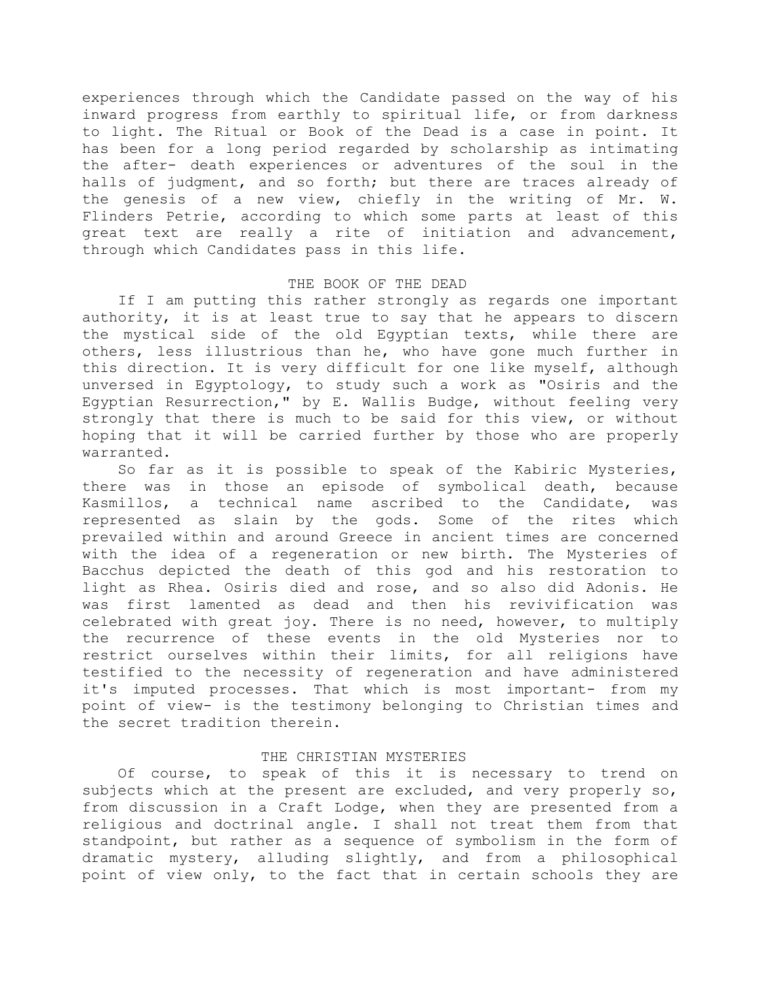experiences through which the Candidate passed on the way of his inward progress from earthly to spiritual life, or from darkness to light. The Ritual or Book of the Dead is a case in point. It has been for a long period regarded by scholarship as intimating the after- death experiences or adventures of the soul in the halls of judgment, and so forth; but there are traces already of the genesis of a new view, chiefly in the writing of Mr. W. Flinders Petrie, according to which some parts at least of this great text are really a rite of initiation and advancement, through which Candidates pass in this life.

# THE BOOK OF THE DEAD

 If I am putting this rather strongly as regards one important authority, it is at least true to say that he appears to discern the mystical side of the old Egyptian texts, while there are others, less illustrious than he, who have gone much further in this direction. It is very difficult for one like myself, although unversed in Egyptology, to study such a work as "Osiris and the Egyptian Resurrection," by E. Wallis Budge, without feeling very strongly that there is much to be said for this view, or without hoping that it will be carried further by those who are properly warranted.

 So far as it is possible to speak of the Kabiric Mysteries, there was in those an episode of symbolical death, because Kasmillos, a technical name ascribed to the Candidate, was represented as slain by the gods. Some of the rites which prevailed within and around Greece in ancient times are concerned with the idea of a regeneration or new birth. The Mysteries of Bacchus depicted the death of this god and his restoration to light as Rhea. Osiris died and rose, and so also did Adonis. He was first lamented as dead and then his revivification was celebrated with great joy. There is no need, however, to multiply the recurrence of these events in the old Mysteries nor to restrict ourselves within their limits, for all religions have testified to the necessity of regeneration and have administered it's imputed processes. That which is most important- from my point of view- is the testimony belonging to Christian times and the secret tradition therein.

#### THE CHRISTIAN MYSTERIES

 Of course, to speak of this it is necessary to trend on subjects which at the present are excluded, and very properly so, from discussion in a Craft Lodge, when they are presented from a religious and doctrinal angle. I shall not treat them from that standpoint, but rather as a sequence of symbolism in the form of dramatic mystery, alluding slightly, and from a philosophical point of view only, to the fact that in certain schools they are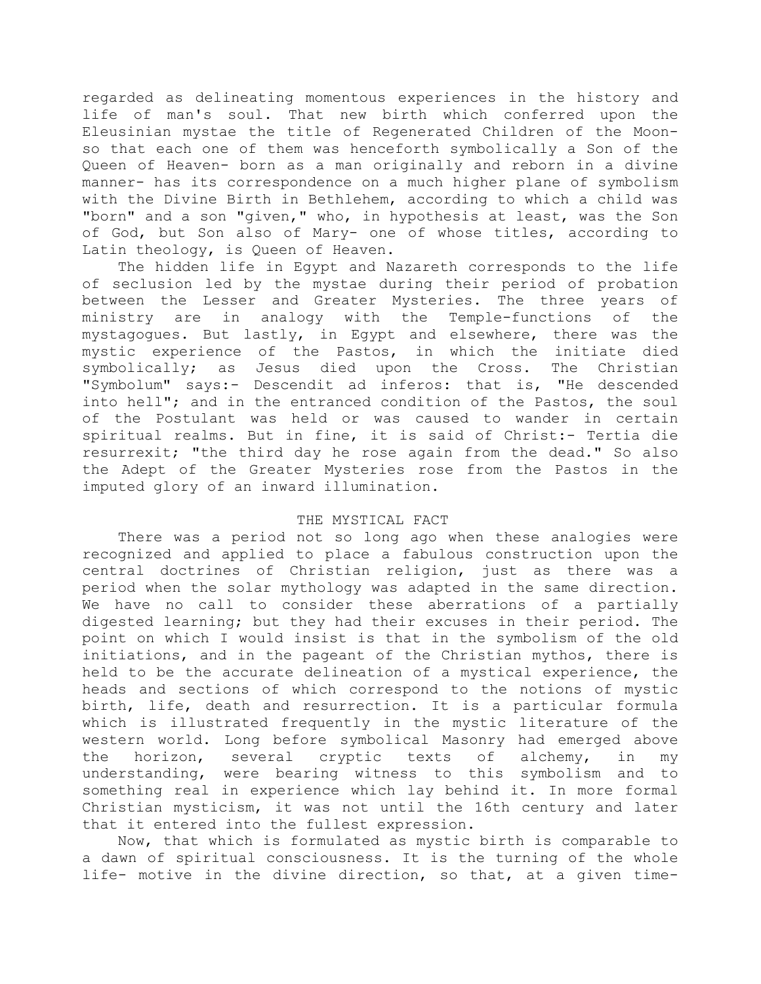regarded as delineating momentous experiences in the history and life of man's soul. That new birth which conferred upon the Eleusinian mystae the title of Regenerated Children of the Moonso that each one of them was henceforth symbolically a Son of the Queen of Heaven- born as a man originally and reborn in a divine manner- has its correspondence on a much higher plane of symbolism with the Divine Birth in Bethlehem, according to which a child was "born" and a son "given," who, in hypothesis at least, was the Son of God, but Son also of Mary- one of whose titles, according to Latin theology, is Queen of Heaven.

 The hidden life in Egypt and Nazareth corresponds to the life of seclusion led by the mystae during their period of probation between the Lesser and Greater Mysteries. The three years of ministry are in analogy with the Temple-functions of the mystagogues. But lastly, in Egypt and elsewhere, there was the mystic experience of the Pastos, in which the initiate died symbolically; as Jesus died upon the Cross. The Christian "Symbolum" says:- Descendit ad inferos: that is, "He descended into hell"; and in the entranced condition of the Pastos, the soul of the Postulant was held or was caused to wander in certain spiritual realms. But in fine, it is said of Christ:- Tertia die resurrexit; "the third day he rose again from the dead." So also the Adept of the Greater Mysteries rose from the Pastos in the imputed glory of an inward illumination.

### THE MYSTICAL FACT

 There was a period not so long ago when these analogies were recognized and applied to place a fabulous construction upon the central doctrines of Christian religion, just as there was a period when the solar mythology was adapted in the same direction. We have no call to consider these aberrations of a partially digested learning; but they had their excuses in their period. The point on which I would insist is that in the symbolism of the old initiations, and in the pageant of the Christian mythos, there is held to be the accurate delineation of a mystical experience, the heads and sections of which correspond to the notions of mystic birth, life, death and resurrection. It is a particular formula which is illustrated frequently in the mystic literature of the western world. Long before symbolical Masonry had emerged above the horizon, several cryptic texts of alchemy, in my understanding, were bearing witness to this symbolism and to something real in experience which lay behind it. In more formal Christian mysticism, it was not until the 16th century and later that it entered into the fullest expression.

 Now, that which is formulated as mystic birth is comparable to a dawn of spiritual consciousness. It is the turning of the whole life- motive in the divine direction, so that, at a given time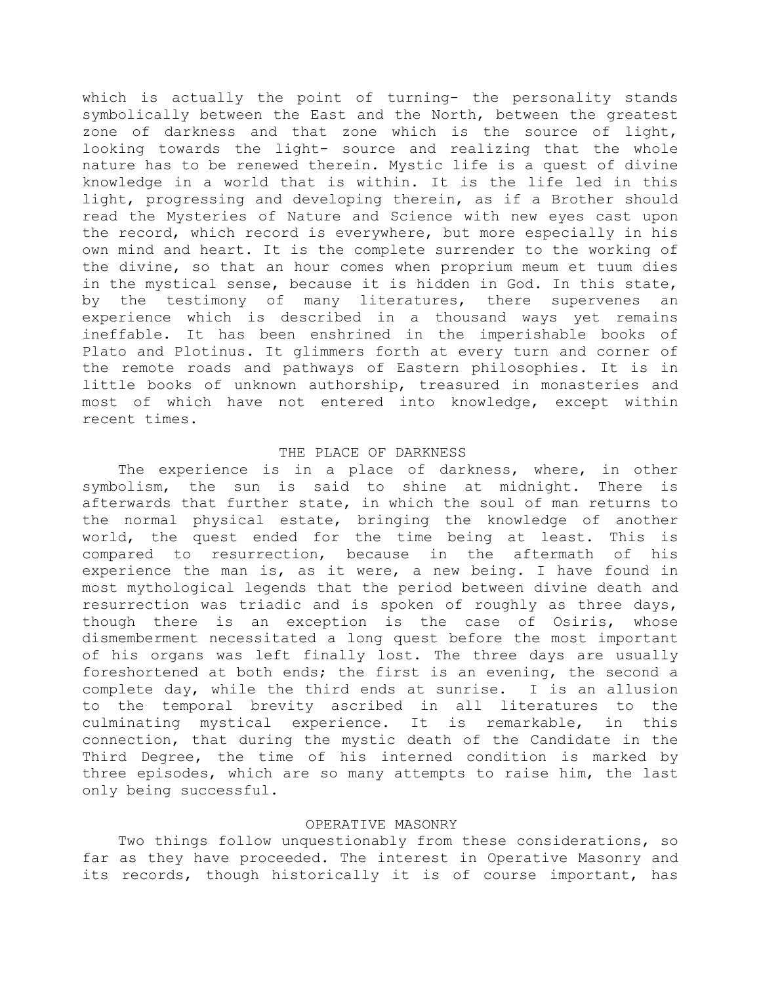which is actually the point of turning- the personality stands symbolically between the East and the North, between the greatest zone of darkness and that zone which is the source of light, looking towards the light- source and realizing that the whole nature has to be renewed therein. Mystic life is a quest of divine knowledge in a world that is within. It is the life led in this light, progressing and developing therein, as if a Brother should read the Mysteries of Nature and Science with new eyes cast upon the record, which record is everywhere, but more especially in his own mind and heart. It is the complete surrender to the working of the divine, so that an hour comes when proprium meum et tuum dies in the mystical sense, because it is hidden in God. In this state, by the testimony of many literatures, there supervenes an experience which is described in a thousand ways yet remains ineffable. It has been enshrined in the imperishable books of Plato and Plotinus. It glimmers forth at every turn and corner of the remote roads and pathways of Eastern philosophies. It is in little books of unknown authorship, treasured in monasteries and most of which have not entered into knowledge, except within recent times.

### THE PLACE OF DARKNESS

The experience is in a place of darkness, where, in other symbolism, the sun is said to shine at midnight. There is afterwards that further state, in which the soul of man returns to the normal physical estate, bringing the knowledge of another world, the quest ended for the time being at least. This is compared to resurrection, because in the aftermath of his experience the man is, as it were, a new being. I have found in most mythological legends that the period between divine death and resurrection was triadic and is spoken of roughly as three days, though there is an exception is the case of Osiris, whose dismemberment necessitated a long quest before the most important of his organs was left finally lost. The three days are usually foreshortened at both ends; the first is an evening, the second a complete day, while the third ends at sunrise. I is an allusion to the temporal brevity ascribed in all literatures to the culminating mystical experience. It is remarkable, in this connection, that during the mystic death of the Candidate in the Third Degree, the time of his interned condition is marked by three episodes, which are so many attempts to raise him, the last only being successful.

### OPERATIVE MASONRY

 Two things follow unquestionably from these considerations, so far as they have proceeded. The interest in Operative Masonry and its records, though historically it is of course important, has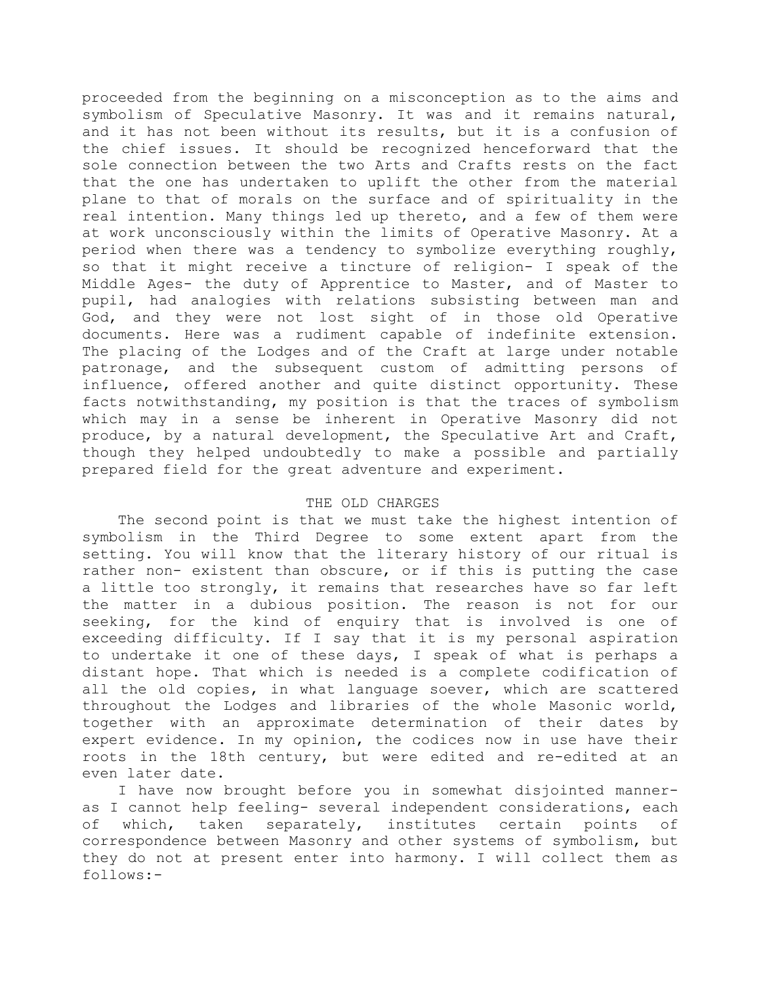proceeded from the beginning on a misconception as to the aims and symbolism of Speculative Masonry. It was and it remains natural, and it has not been without its results, but it is a confusion of the chief issues. It should be recognized henceforward that the sole connection between the two Arts and Crafts rests on the fact that the one has undertaken to uplift the other from the material plane to that of morals on the surface and of spirituality in the real intention. Many things led up thereto, and a few of them were at work unconsciously within the limits of Operative Masonry. At a period when there was a tendency to symbolize everything roughly, so that it might receive a tincture of religion- I speak of the Middle Ages- the duty of Apprentice to Master, and of Master to pupil, had analogies with relations subsisting between man and God, and they were not lost sight of in those old Operative documents. Here was a rudiment capable of indefinite extension. The placing of the Lodges and of the Craft at large under notable patronage, and the subsequent custom of admitting persons of influence, offered another and quite distinct opportunity. These facts notwithstanding, my position is that the traces of symbolism which may in a sense be inherent in Operative Masonry did not produce, by a natural development, the Speculative Art and Craft, though they helped undoubtedly to make a possible and partially prepared field for the great adventure and experiment.

#### THE OLD CHARGES

 The second point is that we must take the highest intention of symbolism in the Third Degree to some extent apart from the setting. You will know that the literary history of our ritual is rather non- existent than obscure, or if this is putting the case a little too strongly, it remains that researches have so far left the matter in a dubious position. The reason is not for our seeking, for the kind of enquiry that is involved is one of exceeding difficulty. If I say that it is my personal aspiration to undertake it one of these days, I speak of what is perhaps a distant hope. That which is needed is a complete codification of all the old copies, in what language soever, which are scattered throughout the Lodges and libraries of the whole Masonic world, together with an approximate determination of their dates by expert evidence. In my opinion, the codices now in use have their roots in the 18th century, but were edited and re-edited at an even later date.

 I have now brought before you in somewhat disjointed manneras I cannot help feeling- several independent considerations, each of which, taken separately, institutes certain points of correspondence between Masonry and other systems of symbolism, but they do not at present enter into harmony. I will collect them as follows:-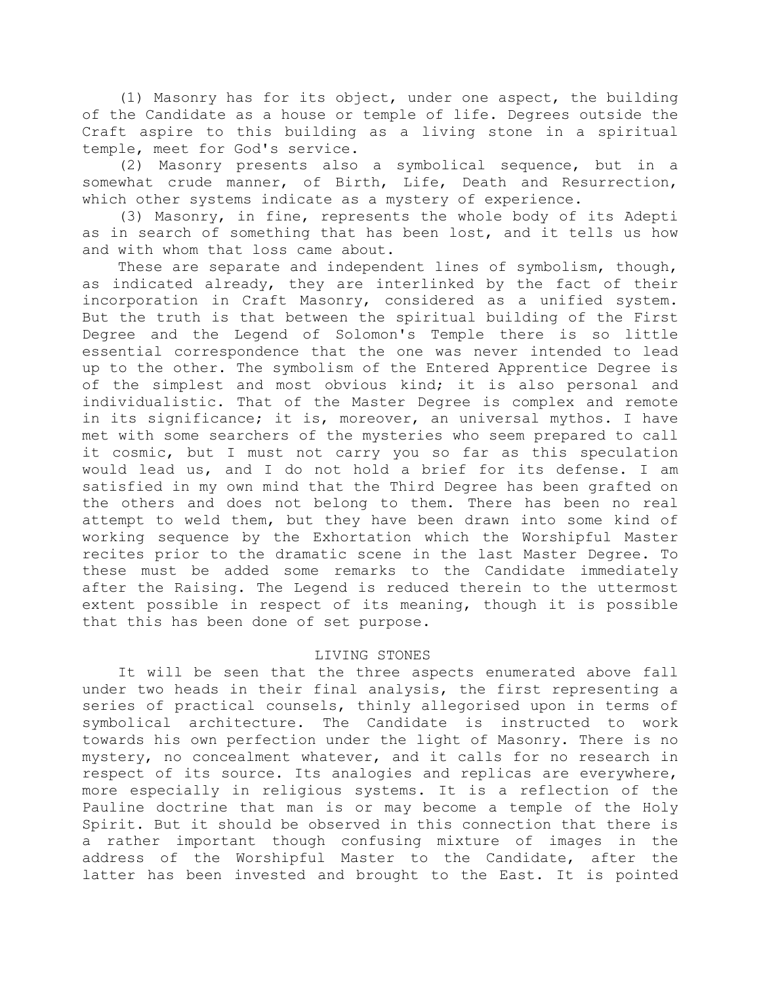(1) Masonry has for its object, under one aspect, the building of the Candidate as a house or temple of life. Degrees outside the Craft aspire to this building as a living stone in a spiritual temple, meet for God's service.

 (2) Masonry presents also a symbolical sequence, but in a somewhat crude manner, of Birth, Life, Death and Resurrection, which other systems indicate as a mystery of experience.

 (3) Masonry, in fine, represents the whole body of its Adepti as in search of something that has been lost, and it tells us how and with whom that loss came about.

 These are separate and independent lines of symbolism, though, as indicated already, they are interlinked by the fact of their incorporation in Craft Masonry, considered as a unified system. But the truth is that between the spiritual building of the First Degree and the Legend of Solomon's Temple there is so little essential correspondence that the one was never intended to lead up to the other. The symbolism of the Entered Apprentice Degree is of the simplest and most obvious kind; it is also personal and individualistic. That of the Master Degree is complex and remote in its significance; it is, moreover, an universal mythos. I have met with some searchers of the mysteries who seem prepared to call it cosmic, but I must not carry you so far as this speculation would lead us, and I do not hold a brief for its defense. I am satisfied in my own mind that the Third Degree has been grafted on the others and does not belong to them. There has been no real attempt to weld them, but they have been drawn into some kind of working sequence by the Exhortation which the Worshipful Master recites prior to the dramatic scene in the last Master Degree. To these must be added some remarks to the Candidate immediately after the Raising. The Legend is reduced therein to the uttermost extent possible in respect of its meaning, though it is possible that this has been done of set purpose.

# LIVING STONES

 It will be seen that the three aspects enumerated above fall under two heads in their final analysis, the first representing a series of practical counsels, thinly allegorised upon in terms of symbolical architecture. The Candidate is instructed to work towards his own perfection under the light of Masonry. There is no mystery, no concealment whatever, and it calls for no research in respect of its source. Its analogies and replicas are everywhere, more especially in religious systems. It is a reflection of the Pauline doctrine that man is or may become a temple of the Holy Spirit. But it should be observed in this connection that there is a rather important though confusing mixture of images in the address of the Worshipful Master to the Candidate, after the latter has been invested and brought to the East. It is pointed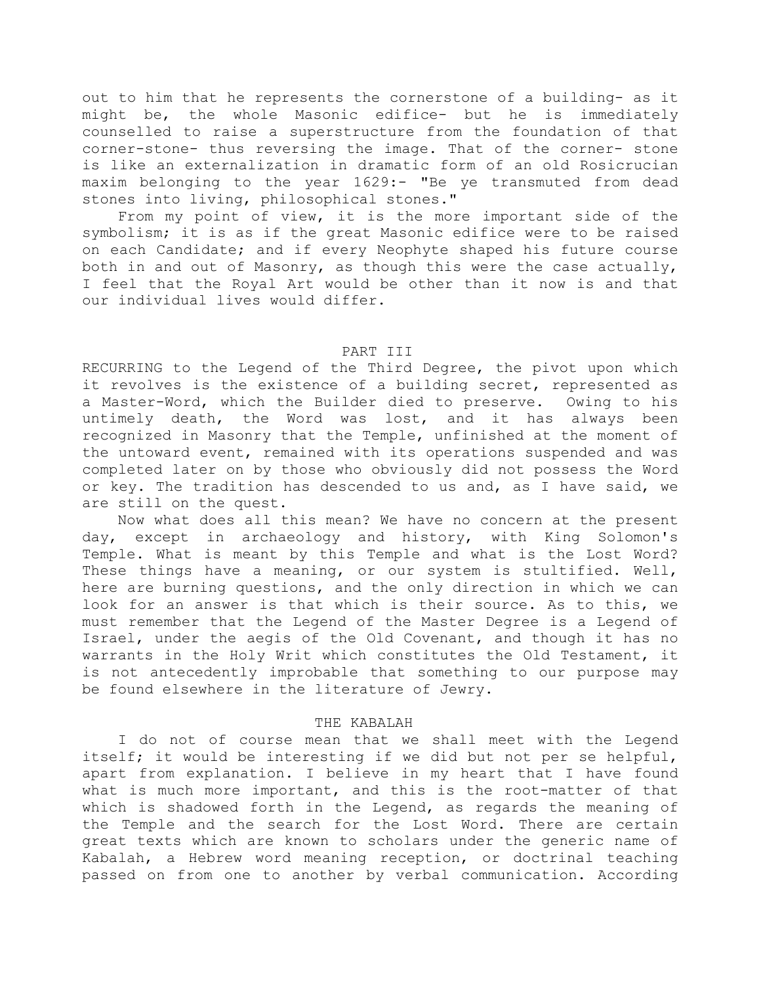out to him that he represents the cornerstone of a building- as it might be, the whole Masonic edifice- but he is immediately counselled to raise a superstructure from the foundation of that corner-stone- thus reversing the image. That of the corner- stone is like an externalization in dramatic form of an old Rosicrucian maxim belonging to the year 1629:- "Be ye transmuted from dead stones into living, philosophical stones."

 From my point of view, it is the more important side of the symbolism; it is as if the great Masonic edifice were to be raised on each Candidate; and if every Neophyte shaped his future course both in and out of Masonry, as though this were the case actually, I feel that the Royal Art would be other than it now is and that our individual lives would differ.

### PART III

RECURRING to the Legend of the Third Degree, the pivot upon which it revolves is the existence of a building secret, represented as a Master-Word, which the Builder died to preserve. Owing to his untimely death, the Word was lost, and it has always been recognized in Masonry that the Temple, unfinished at the moment of the untoward event, remained with its operations suspended and was completed later on by those who obviously did not possess the Word or key. The tradition has descended to us and, as I have said, we are still on the quest.

 Now what does all this mean? We have no concern at the present day, except in archaeology and history, with King Solomon's Temple. What is meant by this Temple and what is the Lost Word? These things have a meaning, or our system is stultified. Well, here are burning questions, and the only direction in which we can look for an answer is that which is their source. As to this, we must remember that the Legend of the Master Degree is a Legend of Israel, under the aegis of the Old Covenant, and though it has no warrants in the Holy Writ which constitutes the Old Testament, it is not antecedently improbable that something to our purpose may be found elsewhere in the literature of Jewry.

#### THE KABALAH

 I do not of course mean that we shall meet with the Legend itself; it would be interesting if we did but not per se helpful, apart from explanation. I believe in my heart that I have found what is much more important, and this is the root-matter of that which is shadowed forth in the Legend, as regards the meaning of the Temple and the search for the Lost Word. There are certain great texts which are known to scholars under the generic name of Kabalah, a Hebrew word meaning reception, or doctrinal teaching passed on from one to another by verbal communication. According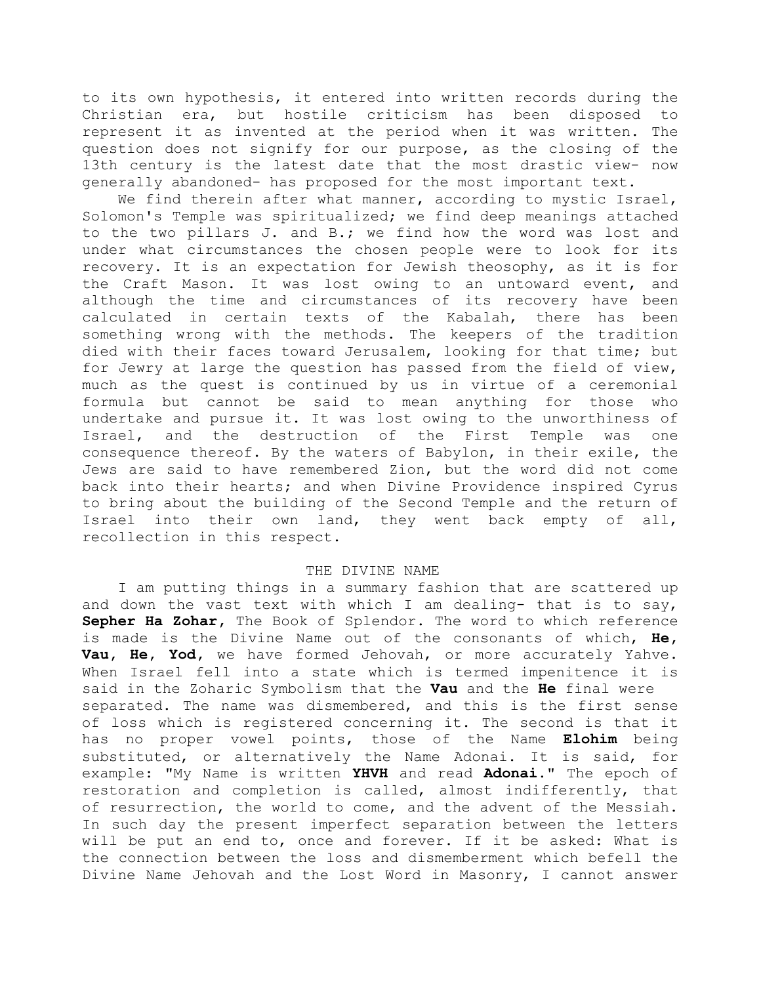to its own hypothesis, it entered into written records during the Christian era, but hostile criticism has been disposed to represent it as invented at the period when it was written. The question does not signify for our purpose, as the closing of the 13th century is the latest date that the most drastic view- now generally abandoned- has proposed for the most important text.

We find therein after what manner, according to mystic Israel, Solomon's Temple was spiritualized; we find deep meanings attached to the two pillars J. and B.; we find how the word was lost and under what circumstances the chosen people were to look for its recovery. It is an expectation for Jewish theosophy, as it is for the Craft Mason. It was lost owing to an untoward event, and although the time and circumstances of its recovery have been calculated in certain texts of the Kabalah, there has been something wrong with the methods. The keepers of the tradition died with their faces toward Jerusalem, looking for that time; but for Jewry at large the question has passed from the field of view, much as the quest is continued by us in virtue of a ceremonial formula but cannot be said to mean anything for those who undertake and pursue it. It was lost owing to the unworthiness of Israel, and the destruction of the First Temple was one consequence thereof. By the waters of Babylon, in their exile, the Jews are said to have remembered Zion, but the word did not come back into their hearts; and when Divine Providence inspired Cyrus to bring about the building of the Second Temple and the return of Israel into their own land, they went back empty of all, recollection in this respect.

### THE DIVINE NAME

 I am putting things in a summary fashion that are scattered up and down the vast text with which I am dealing- that is to say, **Sepher Ha Zohar,** The Book of Splendor. The word to which reference is made is the Divine Name out of the consonants of which, **He, Vau, He, Yod,** we have formed Jehovah, or more accurately Yahve. When Israel fell into a state which is termed impenitence it is said in the Zoharic Symbolism that the **Vau** and the **He** final were separated. The name was dismembered, and this is the first sense of loss which is registered concerning it. The second is that it has no proper vowel points, those of the Name **Elohim** being substituted, or alternatively the Name Adonai. It is said, for example: "My Name is written **YHVH** and read **Adonai.**" The epoch of restoration and completion is called, almost indifferently, that of resurrection, the world to come, and the advent of the Messiah. In such day the present imperfect separation between the letters will be put an end to, once and forever. If it be asked: What is the connection between the loss and dismemberment which befell the Divine Name Jehovah and the Lost Word in Masonry, I cannot answer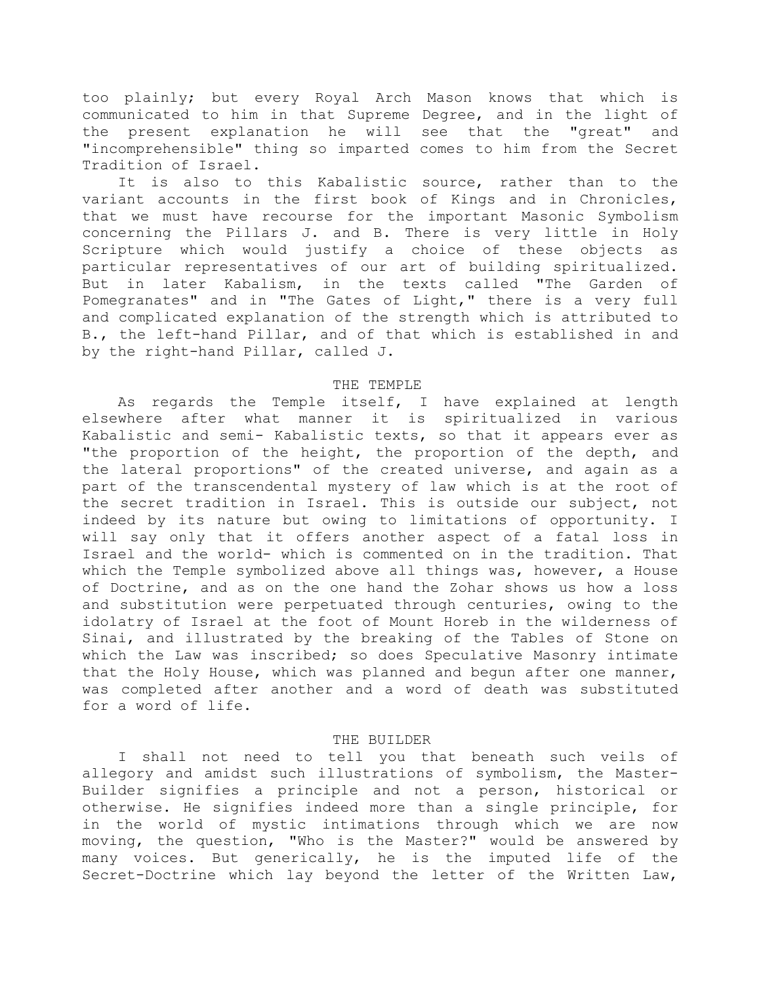too plainly; but every Royal Arch Mason knows that which is communicated to him in that Supreme Degree, and in the light of the present explanation he will see that the "great" and "incomprehensible" thing so imparted comes to him from the Secret Tradition of Israel.

 It is also to this Kabalistic source, rather than to the variant accounts in the first book of Kings and in Chronicles, that we must have recourse for the important Masonic Symbolism concerning the Pillars J. and B. There is very little in Holy Scripture which would justify a choice of these objects as particular representatives of our art of building spiritualized. But in later Kabalism, in the texts called "The Garden of Pomegranates" and in "The Gates of Light," there is a very full and complicated explanation of the strength which is attributed to B., the left-hand Pillar, and of that which is established in and by the right-hand Pillar, called J.

#### THE TEMPLE

 As regards the Temple itself, I have explained at length elsewhere after what manner it is spiritualized in various Kabalistic and semi- Kabalistic texts, so that it appears ever as "the proportion of the height, the proportion of the depth, and the lateral proportions" of the created universe, and again as a part of the transcendental mystery of law which is at the root of the secret tradition in Israel. This is outside our subject, not indeed by its nature but owing to limitations of opportunity. I will say only that it offers another aspect of a fatal loss in Israel and the world- which is commented on in the tradition. That which the Temple symbolized above all things was, however, a House of Doctrine, and as on the one hand the Zohar shows us how a loss and substitution were perpetuated through centuries, owing to the idolatry of Israel at the foot of Mount Horeb in the wilderness of Sinai, and illustrated by the breaking of the Tables of Stone on which the Law was inscribed; so does Speculative Masonry intimate that the Holy House, which was planned and begun after one manner, was completed after another and a word of death was substituted for a word of life.

#### THE BUILDER

 I shall not need to tell you that beneath such veils of allegory and amidst such illustrations of symbolism, the Master-Builder signifies a principle and not a person, historical or otherwise. He signifies indeed more than a single principle, for in the world of mystic intimations through which we are now moving, the question, "Who is the Master?" would be answered by many voices. But generically, he is the imputed life of the Secret-Doctrine which lay beyond the letter of the Written Law,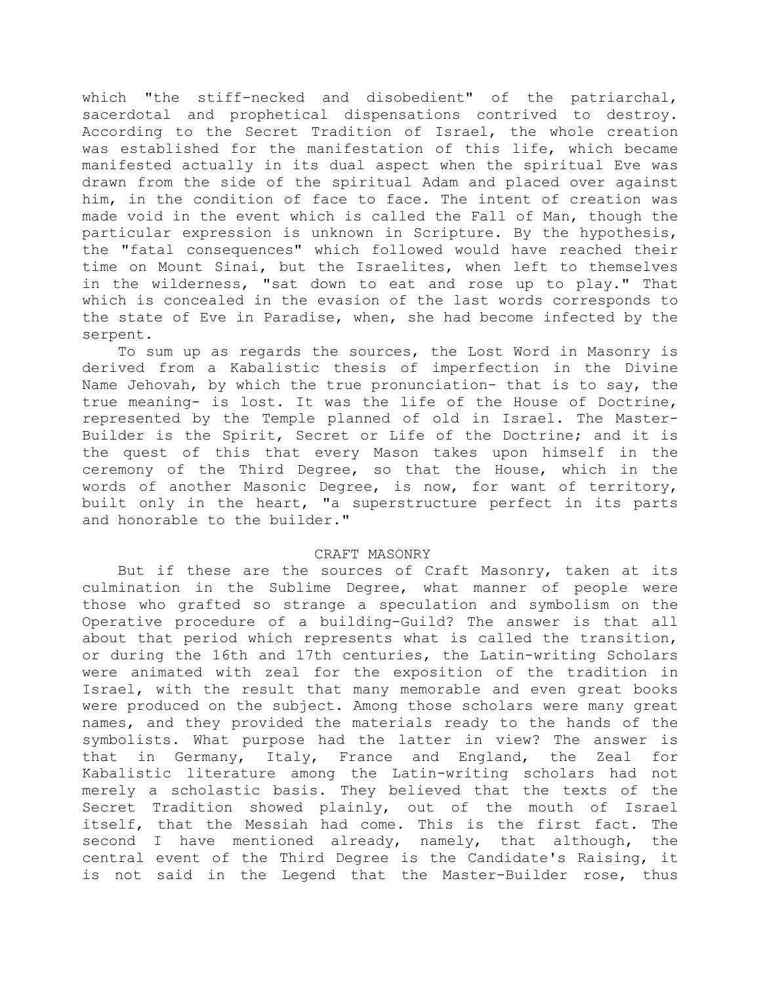which "the stiff-necked and disobedient" of the patriarchal, sacerdotal and prophetical dispensations contrived to destroy. According to the Secret Tradition of Israel, the whole creation was established for the manifestation of this life, which became manifested actually in its dual aspect when the spiritual Eve was drawn from the side of the spiritual Adam and placed over against him, in the condition of face to face. The intent of creation was made void in the event which is called the Fall of Man, though the particular expression is unknown in Scripture. By the hypothesis, the "fatal consequences" which followed would have reached their time on Mount Sinai, but the Israelites, when left to themselves in the wilderness, "sat down to eat and rose up to play." That which is concealed in the evasion of the last words corresponds to the state of Eve in Paradise, when, she had become infected by the serpent.

 To sum up as regards the sources, the Lost Word in Masonry is derived from a Kabalistic thesis of imperfection in the Divine Name Jehovah, by which the true pronunciation- that is to say, the true meaning- is lost. It was the life of the House of Doctrine, represented by the Temple planned of old in Israel. The Master-Builder is the Spirit, Secret or Life of the Doctrine; and it is the quest of this that every Mason takes upon himself in the ceremony of the Third Degree, so that the House, which in the words of another Masonic Degree, is now, for want of territory, built only in the heart, "a superstructure perfect in its parts and honorable to the builder."

### CRAFT MASONRY

 But if these are the sources of Craft Masonry, taken at its culmination in the Sublime Degree, what manner of people were those who grafted so strange a speculation and symbolism on the Operative procedure of a building-Guild? The answer is that all about that period which represents what is called the transition, or during the 16th and 17th centuries, the Latin-writing Scholars were animated with zeal for the exposition of the tradition in Israel, with the result that many memorable and even great books were produced on the subject. Among those scholars were many great names, and they provided the materials ready to the hands of the symbolists. What purpose had the latter in view? The answer is that in Germany, Italy, France and England, the Zeal for Kabalistic literature among the Latin-writing scholars had not merely a scholastic basis. They believed that the texts of the Secret Tradition showed plainly, out of the mouth of Israel itself, that the Messiah had come. This is the first fact. The second I have mentioned already, namely, that although, the central event of the Third Degree is the Candidate's Raising, it is not said in the Legend that the Master-Builder rose, thus